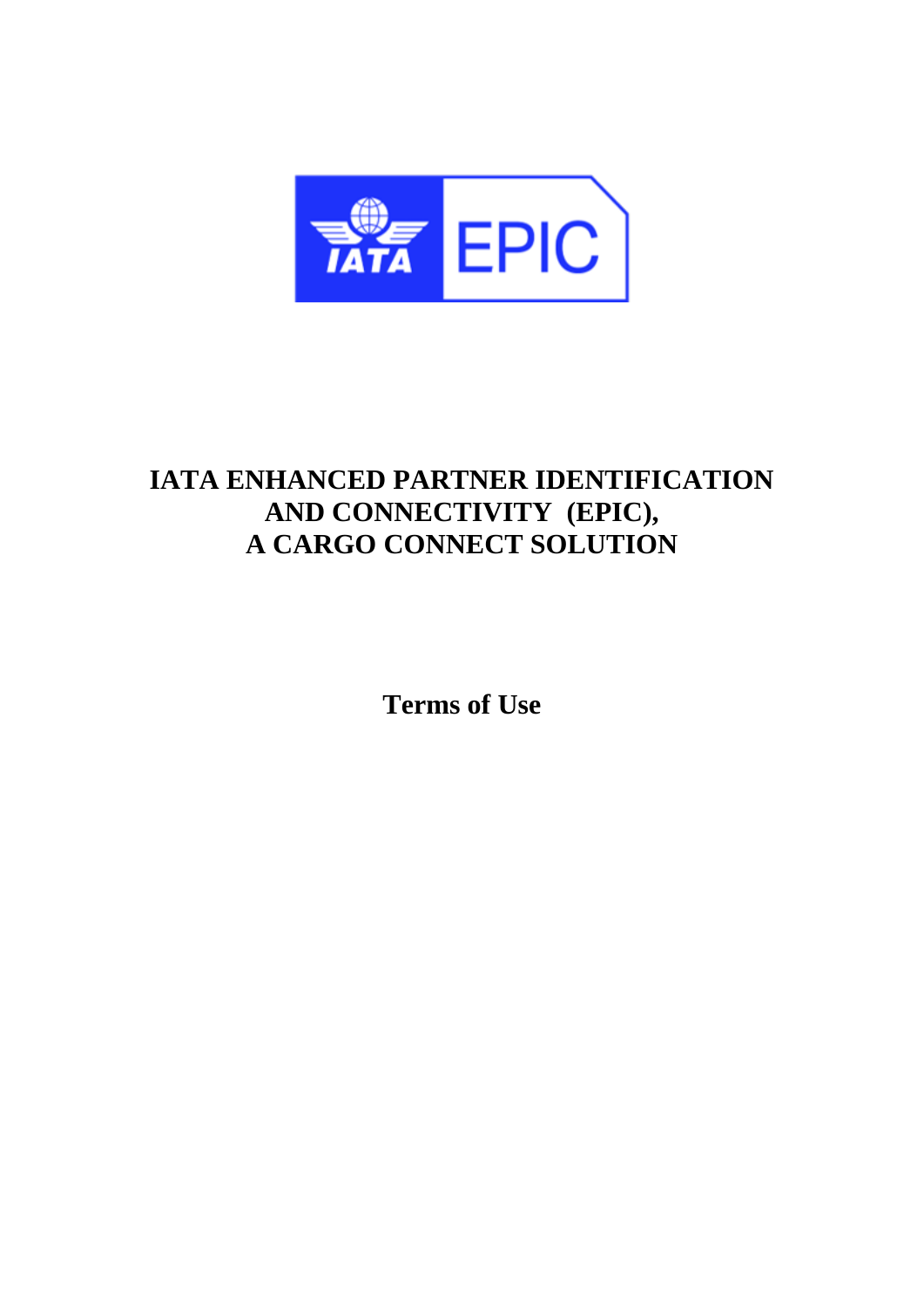

# **IATA ENHANCED PARTNER IDENTIFICATION AND CONNECTIVITY (EPIC), A CARGO CONNECT SOLUTION**

**Terms of Use**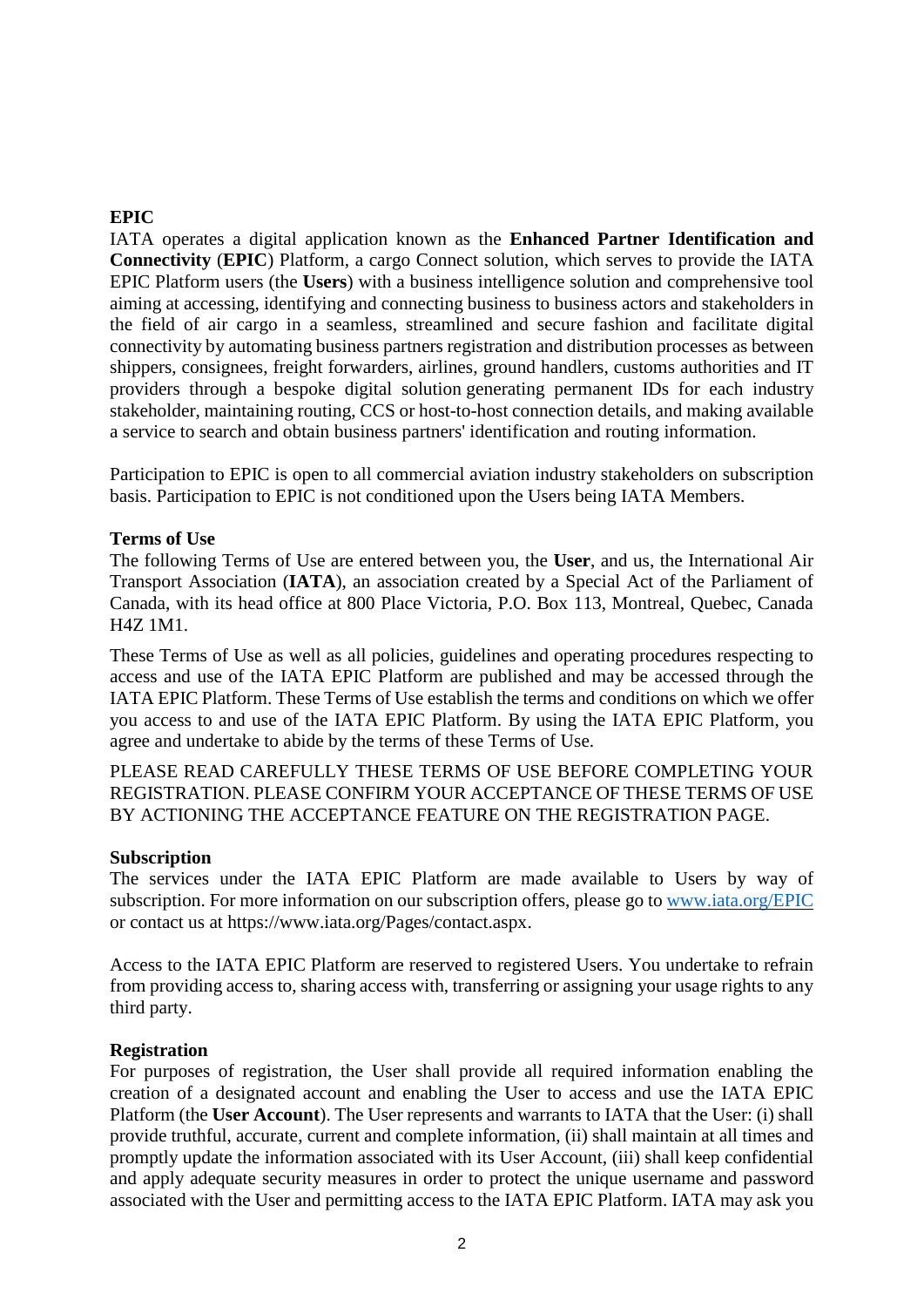# **EPIC**

IATA operates a digital application known as the **Enhanced Partner Identification and Connectivity** (**EPIC**) Platform, a cargo Connect solution, which serves to provide the IATA EPIC Platform users (the **Users**) with a business intelligence solution and comprehensive tool aiming at accessing, identifying and connecting business to business actors and stakeholders in the field of air cargo in a seamless, streamlined and secure fashion and facilitate digital connectivity by automating business partners registration and distribution processes as between shippers, consignees, freight forwarders, airlines, ground handlers, customs authorities and IT providers through a bespoke digital solution generating permanent IDs for each industry stakeholder, maintaining routing, CCS or host-to-host connection details, and making available a service to search and obtain business partners' identification and routing information.

Participation to EPIC is open to all commercial aviation industry stakeholders on subscription basis. Participation to EPIC is not conditioned upon the Users being IATA Members.

#### **Terms of Use**

The following Terms of Use are entered between you, the **User**, and us, the International Air Transport Association (**IATA**), an association created by a Special Act of the Parliament of Canada, with its head office at 800 Place Victoria, P.O. Box 113, Montreal, Quebec, Canada H4Z 1M1.

These Terms of Use as well as all policies, guidelines and operating procedures respecting to access and use of the IATA EPIC Platform are published and may be accessed through the IATA EPIC Platform. These Terms of Use establish the terms and conditions on which we offer you access to and use of the IATA EPIC Platform. By using the IATA EPIC Platform, you agree and undertake to abide by the terms of these Terms of Use.

PLEASE READ CAREFULLY THESE TERMS OF USE BEFORE COMPLETING YOUR REGISTRATION. PLEASE CONFIRM YOUR ACCEPTANCE OF THESE TERMS OF USE BY ACTIONING THE ACCEPTANCE FEATURE ON THE REGISTRATION PAGE.

#### **Subscription**

The services under the IATA EPIC Platform are made available to Users by way of subscription. For more information on our subscription offers, please go to www.iata.org/EPIC or contact us at https://www.iata.org/Pages/contact.aspx.

Access to the IATA EPIC Platform are reserved to registered Users. You undertake to refrain from providing access to, sharing access with, transferring or assigning your usage rights to any third party.

#### **Registration**

For purposes of registration, the User shall provide all required information enabling the creation of a designated account and enabling the User to access and use the IATA EPIC Platform (the **User Account**). The User represents and warrants to IATA that the User: (i) shall provide truthful, accurate, current and complete information, (ii) shall maintain at all times and promptly update the information associated with its User Account, (iii) shall keep confidential and apply adequate security measures in order to protect the unique username and password associated with the User and permitting access to the IATA EPIC Platform. IATA may ask you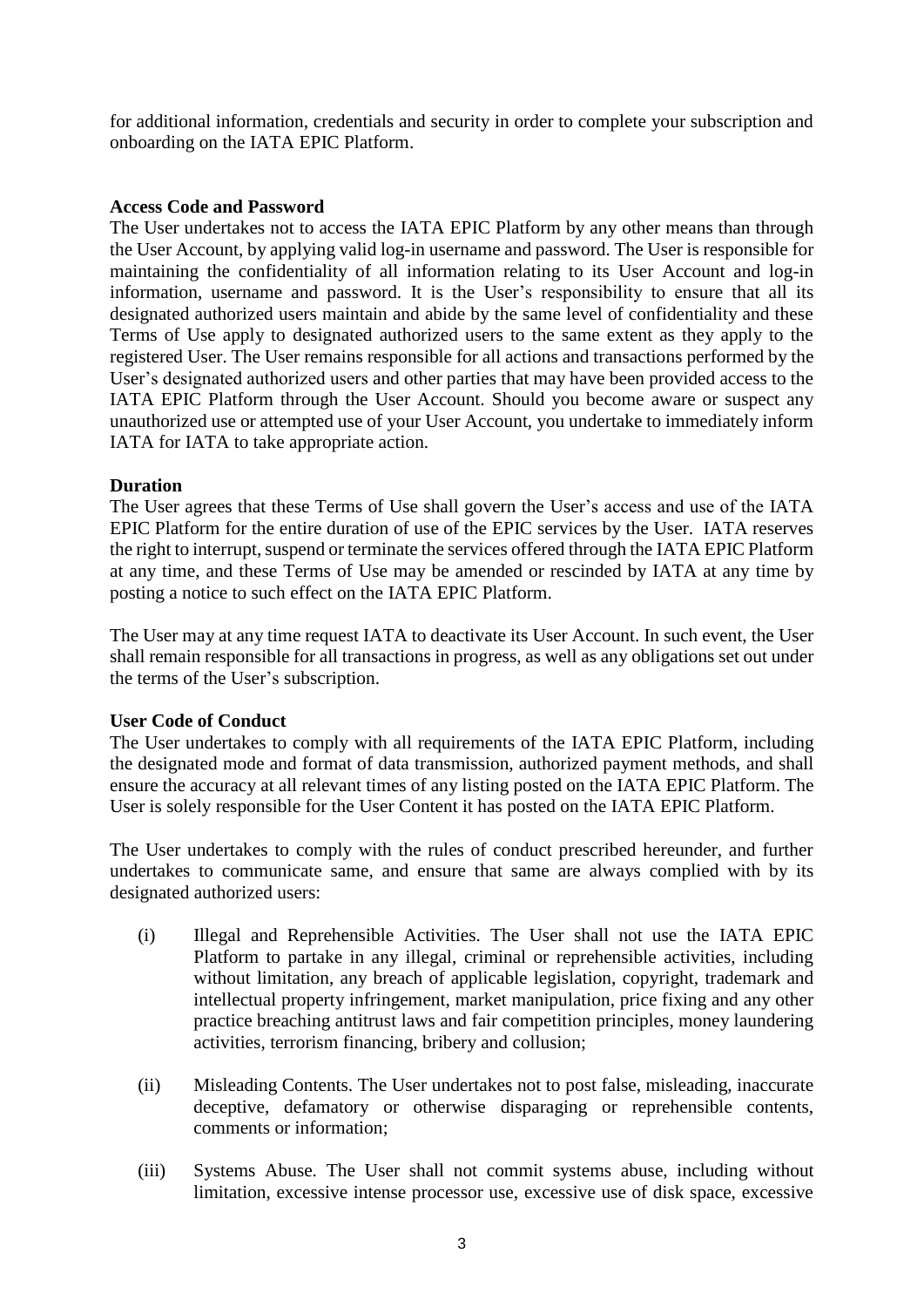for additional information, credentials and security in order to complete your subscription and onboarding on the IATA EPIC Platform.

## **Access Code and Password**

The User undertakes not to access the IATA EPIC Platform by any other means than through the User Account, by applying valid log-in username and password. The User is responsible for maintaining the confidentiality of all information relating to its User Account and log-in information, username and password. It is the User's responsibility to ensure that all its designated authorized users maintain and abide by the same level of confidentiality and these Terms of Use apply to designated authorized users to the same extent as they apply to the registered User. The User remains responsible for all actions and transactions performed by the User's designated authorized users and other parties that may have been provided access to the IATA EPIC Platform through the User Account. Should you become aware or suspect any unauthorized use or attempted use of your User Account, you undertake to immediately inform IATA for IATA to take appropriate action.

## **Duration**

The User agrees that these Terms of Use shall govern the User's access and use of the IATA EPIC Platform for the entire duration of use of the EPIC services by the User. IATA reserves the right to interrupt, suspend or terminate the services offered through the IATA EPIC Platform at any time, and these Terms of Use may be amended or rescinded by IATA at any time by posting a notice to such effect on the IATA EPIC Platform.

The User may at any time request IATA to deactivate its User Account. In such event, the User shall remain responsible for all transactions in progress, as well as any obligations set out under the terms of the User's subscription.

#### **User Code of Conduct**

The User undertakes to comply with all requirements of the IATA EPIC Platform, including the designated mode and format of data transmission, authorized payment methods, and shall ensure the accuracy at all relevant times of any listing posted on the IATA EPIC Platform. The User is solely responsible for the User Content it has posted on the IATA EPIC Platform.

The User undertakes to comply with the rules of conduct prescribed hereunder, and further undertakes to communicate same, and ensure that same are always complied with by its designated authorized users:

- (i) Illegal and Reprehensible Activities. The User shall not use the IATA EPIC Platform to partake in any illegal, criminal or reprehensible activities, including without limitation, any breach of applicable legislation, copyright, trademark and intellectual property infringement, market manipulation, price fixing and any other practice breaching antitrust laws and fair competition principles, money laundering activities, terrorism financing, bribery and collusion;
- (ii) Misleading Contents. The User undertakes not to post false, misleading, inaccurate deceptive, defamatory or otherwise disparaging or reprehensible contents, comments or information;
- (iii) Systems Abuse. The User shall not commit systems abuse, including without limitation, excessive intense processor use, excessive use of disk space, excessive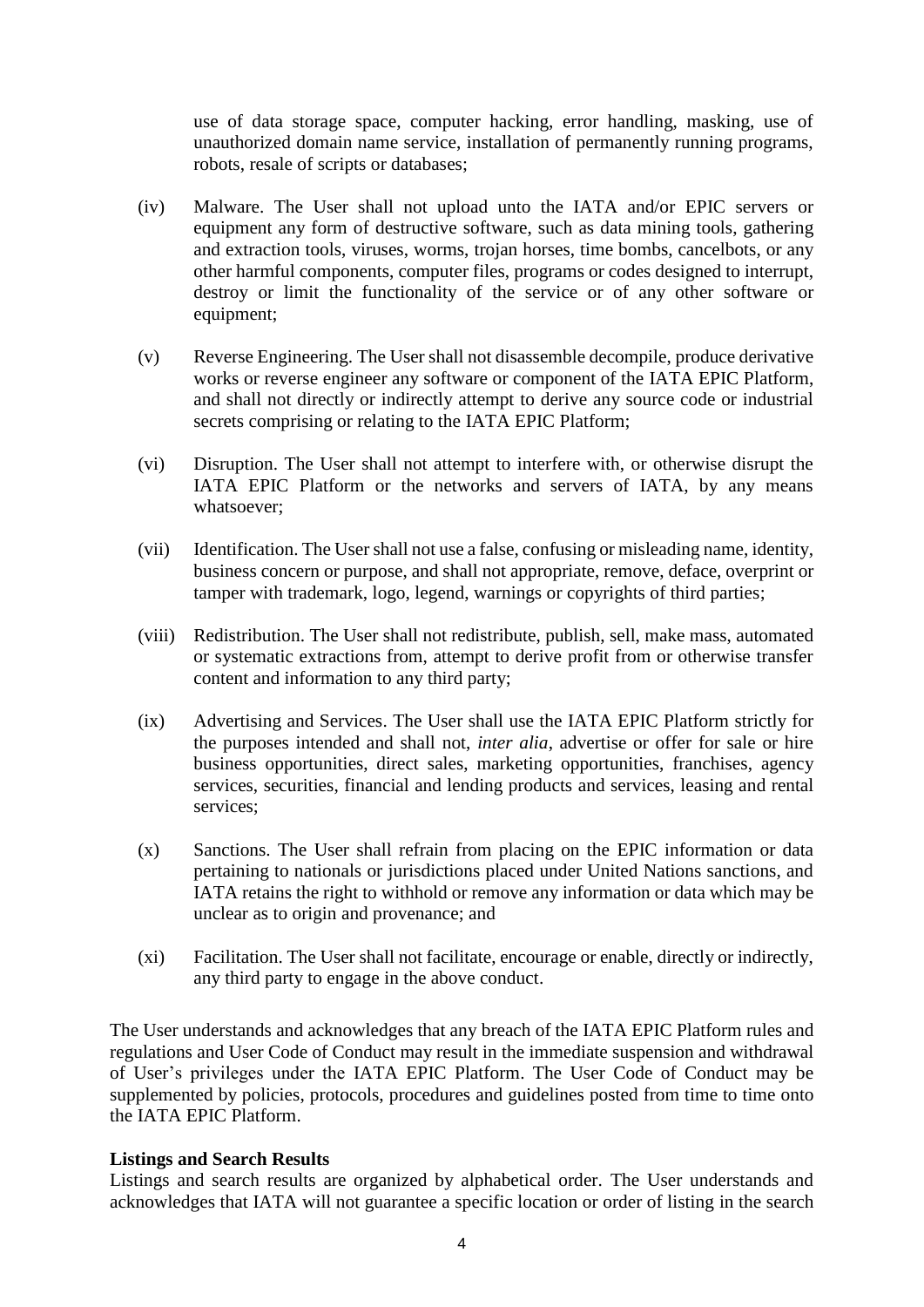use of data storage space, computer hacking, error handling, masking, use of unauthorized domain name service, installation of permanently running programs, robots, resale of scripts or databases;

- (iv) Malware. The User shall not upload unto the IATA and/or EPIC servers or equipment any form of destructive software, such as data mining tools, gathering and extraction tools, viruses, worms, trojan horses, time bombs, cancelbots, or any other harmful components, computer files, programs or codes designed to interrupt, destroy or limit the functionality of the service or of any other software or equipment;
- (v) Reverse Engineering. The User shall not disassemble decompile, produce derivative works or reverse engineer any software or component of the IATA EPIC Platform, and shall not directly or indirectly attempt to derive any source code or industrial secrets comprising or relating to the IATA EPIC Platform;
- (vi) Disruption. The User shall not attempt to interfere with, or otherwise disrupt the IATA EPIC Platform or the networks and servers of IATA, by any means whatsoever;
- (vii) Identification. The User shall not use a false, confusing or misleading name, identity, business concern or purpose, and shall not appropriate, remove, deface, overprint or tamper with trademark, logo, legend, warnings or copyrights of third parties;
- (viii) Redistribution. The User shall not redistribute, publish, sell, make mass, automated or systematic extractions from, attempt to derive profit from or otherwise transfer content and information to any third party;
- (ix) Advertising and Services. The User shall use the IATA EPIC Platform strictly for the purposes intended and shall not, *inter alia*, advertise or offer for sale or hire business opportunities, direct sales, marketing opportunities, franchises, agency services, securities, financial and lending products and services, leasing and rental services;
- (x) Sanctions. The User shall refrain from placing on the EPIC information or data pertaining to nationals or jurisdictions placed under United Nations sanctions, and IATA retains the right to withhold or remove any information or data which may be unclear as to origin and provenance; and
- (xi) Facilitation. The User shall not facilitate, encourage or enable, directly or indirectly, any third party to engage in the above conduct.

The User understands and acknowledges that any breach of the IATA EPIC Platform rules and regulations and User Code of Conduct may result in the immediate suspension and withdrawal of User's privileges under the IATA EPIC Platform. The User Code of Conduct may be supplemented by policies, protocols, procedures and guidelines posted from time to time onto the IATA EPIC Platform.

#### **Listings and Search Results**

Listings and search results are organized by alphabetical order. The User understands and acknowledges that IATA will not guarantee a specific location or order of listing in the search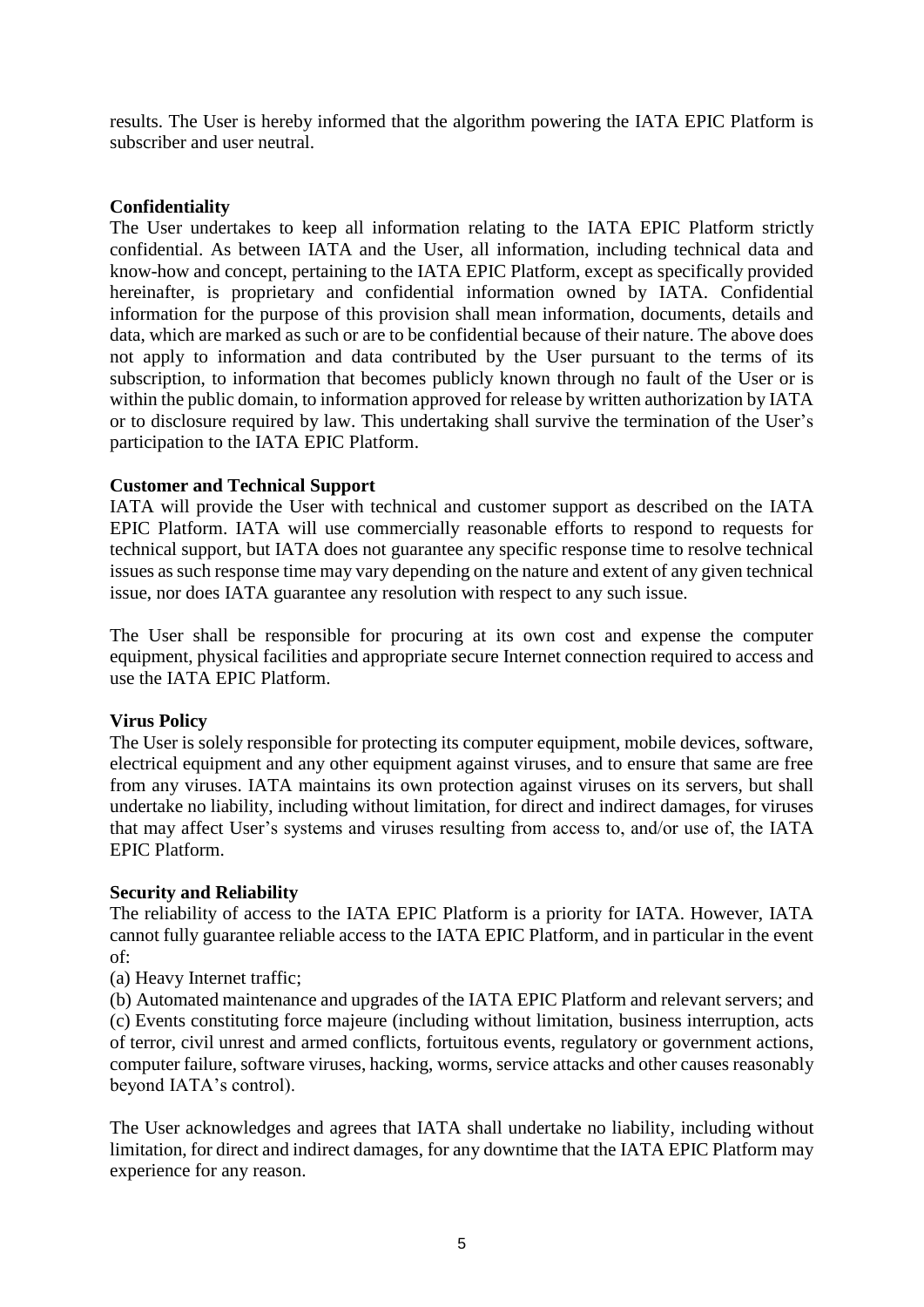results. The User is hereby informed that the algorithm powering the IATA EPIC Platform is subscriber and user neutral.

## **Confidentiality**

The User undertakes to keep all information relating to the IATA EPIC Platform strictly confidential. As between IATA and the User, all information, including technical data and know-how and concept, pertaining to the IATA EPIC Platform, except as specifically provided hereinafter, is proprietary and confidential information owned by IATA. Confidential information for the purpose of this provision shall mean information, documents, details and data, which are marked as such or are to be confidential because of their nature. The above does not apply to information and data contributed by the User pursuant to the terms of its subscription, to information that becomes publicly known through no fault of the User or is within the public domain, to information approved for release by written authorization by IATA or to disclosure required by law. This undertaking shall survive the termination of the User's participation to the IATA EPIC Platform.

## **Customer and Technical Support**

IATA will provide the User with technical and customer support as described on the IATA EPIC Platform. IATA will use commercially reasonable efforts to respond to requests for technical support, but IATA does not guarantee any specific response time to resolve technical issues as such response time may vary depending on the nature and extent of any given technical issue, nor does IATA guarantee any resolution with respect to any such issue.

The User shall be responsible for procuring at its own cost and expense the computer equipment, physical facilities and appropriate secure Internet connection required to access and use the IATA EPIC Platform.

#### **Virus Policy**

The User is solely responsible for protecting its computer equipment, mobile devices, software, electrical equipment and any other equipment against viruses, and to ensure that same are free from any viruses. IATA maintains its own protection against viruses on its servers, but shall undertake no liability, including without limitation, for direct and indirect damages, for viruses that may affect User's systems and viruses resulting from access to, and/or use of, the IATA EPIC Platform.

#### **Security and Reliability**

The reliability of access to the IATA EPIC Platform is a priority for IATA. However, IATA cannot fully guarantee reliable access to the IATA EPIC Platform, and in particular in the event of:

(a) Heavy Internet traffic;

(b) Automated maintenance and upgrades of the IATA EPIC Platform and relevant servers; and (c) Events constituting force majeure (including without limitation, business interruption, acts of terror, civil unrest and armed conflicts, fortuitous events, regulatory or government actions, computer failure, software viruses, hacking, worms, service attacks and other causes reasonably beyond IATA's control).

The User acknowledges and agrees that IATA shall undertake no liability, including without limitation, for direct and indirect damages, for any downtime that the IATA EPIC Platform may experience for any reason.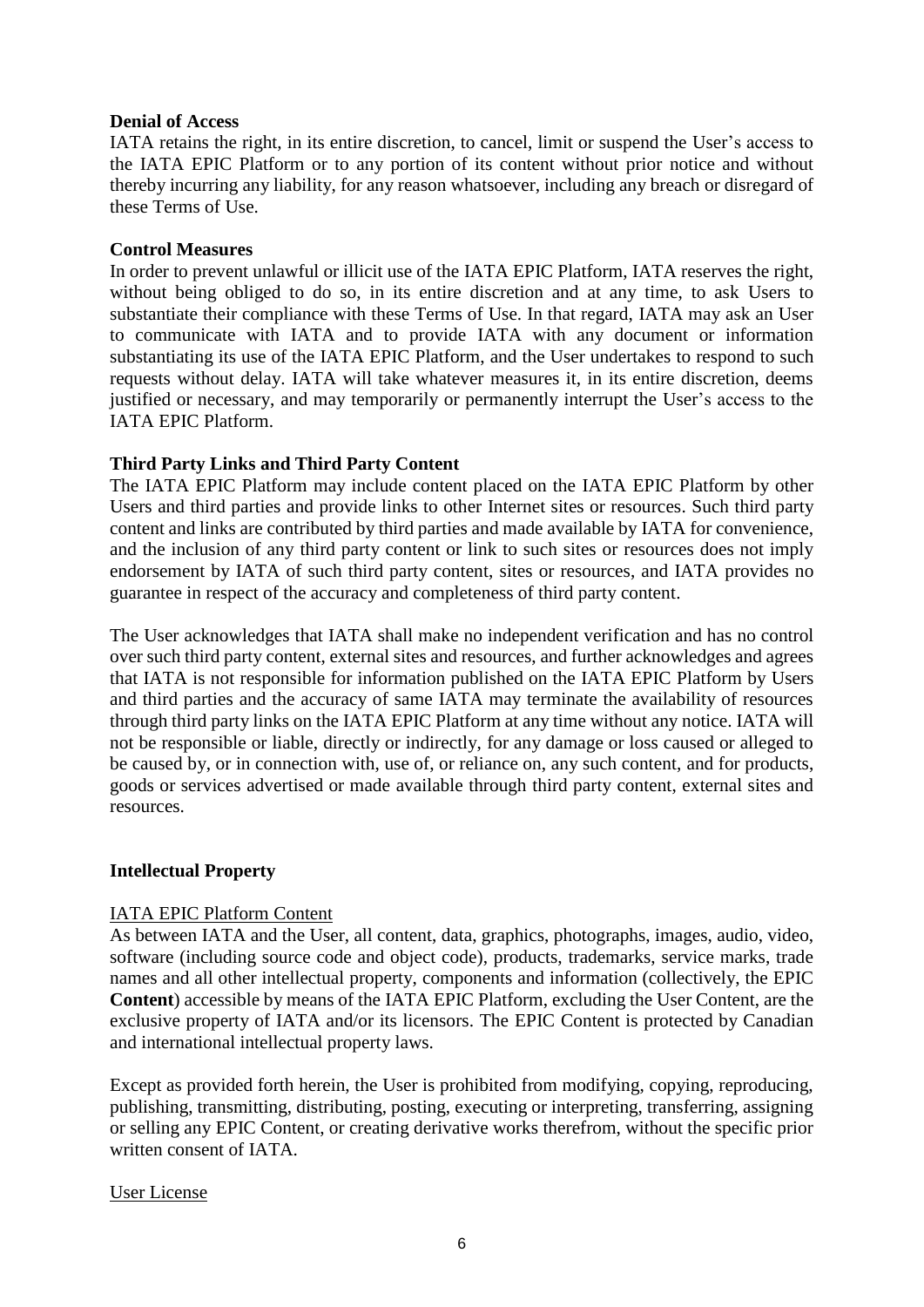## **Denial of Access**

IATA retains the right, in its entire discretion, to cancel, limit or suspend the User's access to the IATA EPIC Platform or to any portion of its content without prior notice and without thereby incurring any liability, for any reason whatsoever, including any breach or disregard of these Terms of Use.

## **Control Measures**

In order to prevent unlawful or illicit use of the IATA EPIC Platform, IATA reserves the right, without being obliged to do so, in its entire discretion and at any time, to ask Users to substantiate their compliance with these Terms of Use. In that regard, IATA may ask an User to communicate with IATA and to provide IATA with any document or information substantiating its use of the IATA EPIC Platform, and the User undertakes to respond to such requests without delay. IATA will take whatever measures it, in its entire discretion, deems justified or necessary, and may temporarily or permanently interrupt the User's access to the IATA EPIC Platform.

# **Third Party Links and Third Party Content**

The IATA EPIC Platform may include content placed on the IATA EPIC Platform by other Users and third parties and provide links to other Internet sites or resources. Such third party content and links are contributed by third parties and made available by IATA for convenience, and the inclusion of any third party content or link to such sites or resources does not imply endorsement by IATA of such third party content, sites or resources, and IATA provides no guarantee in respect of the accuracy and completeness of third party content.

The User acknowledges that IATA shall make no independent verification and has no control over such third party content, external sites and resources, and further acknowledges and agrees that IATA is not responsible for information published on the IATA EPIC Platform by Users and third parties and the accuracy of same IATA may terminate the availability of resources through third party links on the IATA EPIC Platform at any time without any notice. IATA will not be responsible or liable, directly or indirectly, for any damage or loss caused or alleged to be caused by, or in connection with, use of, or reliance on, any such content, and for products, goods or services advertised or made available through third party content, external sites and resources.

# **Intellectual Property**

# IATA EPIC Platform Content

As between IATA and the User, all content, data, graphics, photographs, images, audio, video, software (including source code and object code), products, trademarks, service marks, trade names and all other intellectual property, components and information (collectively, the EPIC **Content**) accessible by means of the IATA EPIC Platform, excluding the User Content, are the exclusive property of IATA and/or its licensors. The EPIC Content is protected by Canadian and international intellectual property laws.

Except as provided forth herein, the User is prohibited from modifying, copying, reproducing, publishing, transmitting, distributing, posting, executing or interpreting, transferring, assigning or selling any EPIC Content, or creating derivative works therefrom, without the specific prior written consent of IATA.

#### User License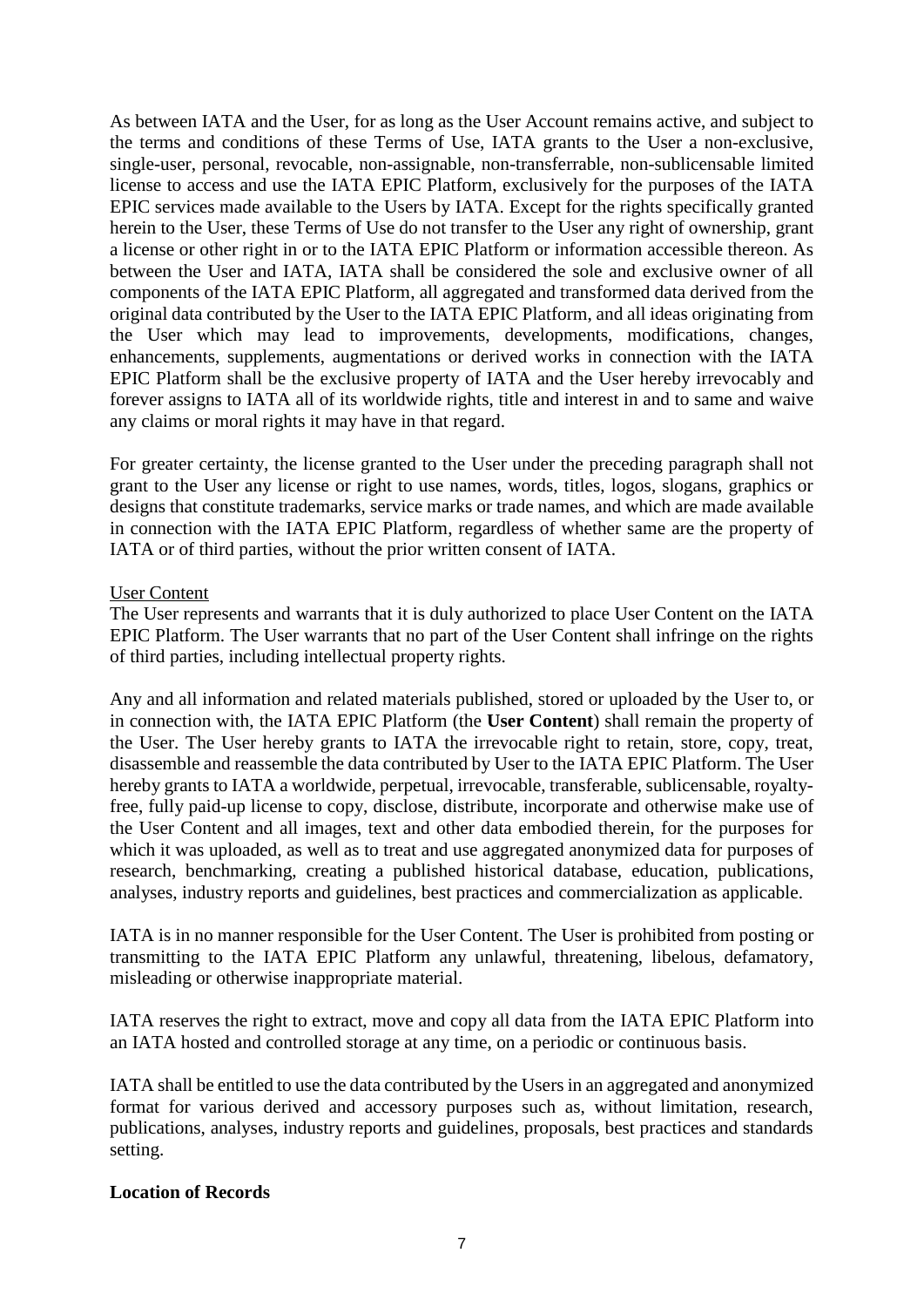As between IATA and the User, for as long as the User Account remains active, and subject to the terms and conditions of these Terms of Use, IATA grants to the User a non-exclusive, single-user, personal, revocable, non-assignable, non-transferrable, non-sublicensable limited license to access and use the IATA EPIC Platform, exclusively for the purposes of the IATA EPIC services made available to the Users by IATA. Except for the rights specifically granted herein to the User, these Terms of Use do not transfer to the User any right of ownership, grant a license or other right in or to the IATA EPIC Platform or information accessible thereon. As between the User and IATA, IATA shall be considered the sole and exclusive owner of all components of the IATA EPIC Platform, all aggregated and transformed data derived from the original data contributed by the User to the IATA EPIC Platform, and all ideas originating from the User which may lead to improvements, developments, modifications, changes, enhancements, supplements, augmentations or derived works in connection with the IATA EPIC Platform shall be the exclusive property of IATA and the User hereby irrevocably and forever assigns to IATA all of its worldwide rights, title and interest in and to same and waive any claims or moral rights it may have in that regard.

For greater certainty, the license granted to the User under the preceding paragraph shall not grant to the User any license or right to use names, words, titles, logos, slogans, graphics or designs that constitute trademarks, service marks or trade names, and which are made available in connection with the IATA EPIC Platform, regardless of whether same are the property of IATA or of third parties, without the prior written consent of IATA.

#### User Content

The User represents and warrants that it is duly authorized to place User Content on the IATA EPIC Platform. The User warrants that no part of the User Content shall infringe on the rights of third parties, including intellectual property rights.

Any and all information and related materials published, stored or uploaded by the User to, or in connection with, the IATA EPIC Platform (the **User Content**) shall remain the property of the User. The User hereby grants to IATA the irrevocable right to retain, store, copy, treat, disassemble and reassemble the data contributed by User to the IATA EPIC Platform. The User hereby grants to IATA a worldwide, perpetual, irrevocable, transferable, sublicensable, royaltyfree, fully paid-up license to copy, disclose, distribute, incorporate and otherwise make use of the User Content and all images, text and other data embodied therein, for the purposes for which it was uploaded, as well as to treat and use aggregated anonymized data for purposes of research, benchmarking, creating a published historical database, education, publications, analyses, industry reports and guidelines, best practices and commercialization as applicable.

IATA is in no manner responsible for the User Content. The User is prohibited from posting or transmitting to the IATA EPIC Platform any unlawful, threatening, libelous, defamatory, misleading or otherwise inappropriate material.

IATA reserves the right to extract, move and copy all data from the IATA EPIC Platform into an IATA hosted and controlled storage at any time, on a periodic or continuous basis.

IATA shall be entitled to use the data contributed by the Usersin an aggregated and anonymized format for various derived and accessory purposes such as, without limitation, research, publications, analyses, industry reports and guidelines, proposals, best practices and standards setting.

#### **Location of Records**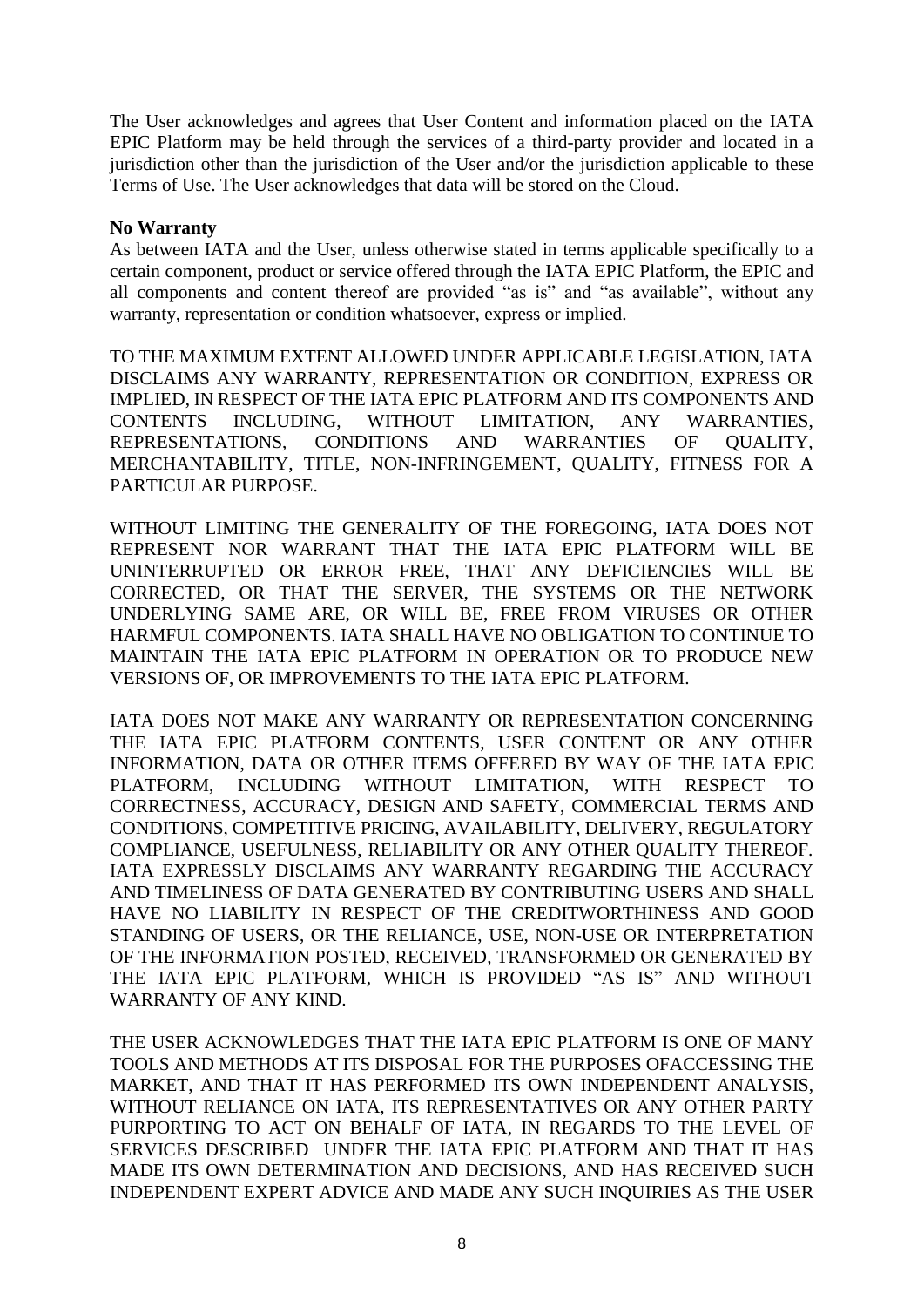The User acknowledges and agrees that User Content and information placed on the IATA EPIC Platform may be held through the services of a third-party provider and located in a jurisdiction other than the jurisdiction of the User and/or the jurisdiction applicable to these Terms of Use. The User acknowledges that data will be stored on the Cloud.

## **No Warranty**

As between IATA and the User, unless otherwise stated in terms applicable specifically to a certain component, product or service offered through the IATA EPIC Platform, the EPIC and all components and content thereof are provided "as is" and "as available", without any warranty, representation or condition whatsoever, express or implied.

TO THE MAXIMUM EXTENT ALLOWED UNDER APPLICABLE LEGISLATION, IATA DISCLAIMS ANY WARRANTY, REPRESENTATION OR CONDITION, EXPRESS OR IMPLIED, IN RESPECT OF THE IATA EPIC PLATFORM AND ITS COMPONENTS AND CONTENTS INCLUDING, WITHOUT LIMITATION, ANY WARRANTIES, REPRESENTATIONS, CONDITIONS AND WARRANTIES OF QUALITY, MERCHANTABILITY, TITLE, NON-INFRINGEMENT, QUALITY, FITNESS FOR A PARTICULAR PURPOSE.

WITHOUT LIMITING THE GENERALITY OF THE FOREGOING, IATA DOES NOT REPRESENT NOR WARRANT THAT THE IATA EPIC PLATFORM WILL BE UNINTERRUPTED OR ERROR FREE, THAT ANY DEFICIENCIES WILL BE CORRECTED, OR THAT THE SERVER, THE SYSTEMS OR THE NETWORK UNDERLYING SAME ARE, OR WILL BE, FREE FROM VIRUSES OR OTHER HARMFUL COMPONENTS. IATA SHALL HAVE NO OBLIGATION TO CONTINUE TO MAINTAIN THE IATA EPIC PLATFORM IN OPERATION OR TO PRODUCE NEW VERSIONS OF, OR IMPROVEMENTS TO THE IATA EPIC PLATFORM.

IATA DOES NOT MAKE ANY WARRANTY OR REPRESENTATION CONCERNING THE IATA EPIC PLATFORM CONTENTS, USER CONTENT OR ANY OTHER INFORMATION, DATA OR OTHER ITEMS OFFERED BY WAY OF THE IATA EPIC PLATFORM, INCLUDING WITHOUT LIMITATION, WITH RESPECT TO CORRECTNESS, ACCURACY, DESIGN AND SAFETY, COMMERCIAL TERMS AND CONDITIONS, COMPETITIVE PRICING, AVAILABILITY, DELIVERY, REGULATORY COMPLIANCE, USEFULNESS, RELIABILITY OR ANY OTHER QUALITY THEREOF. IATA EXPRESSLY DISCLAIMS ANY WARRANTY REGARDING THE ACCURACY AND TIMELINESS OF DATA GENERATED BY CONTRIBUTING USERS AND SHALL HAVE NO LIABILITY IN RESPECT OF THE CREDITWORTHINESS AND GOOD STANDING OF USERS, OR THE RELIANCE, USE, NON-USE OR INTERPRETATION OF THE INFORMATION POSTED, RECEIVED, TRANSFORMED OR GENERATED BY THE IATA EPIC PLATFORM, WHICH IS PROVIDED "AS IS" AND WITHOUT WARRANTY OF ANY KIND.

THE USER ACKNOWLEDGES THAT THE IATA EPIC PLATFORM IS ONE OF MANY TOOLS AND METHODS AT ITS DISPOSAL FOR THE PURPOSES OFACCESSING THE MARKET, AND THAT IT HAS PERFORMED ITS OWN INDEPENDENT ANALYSIS, WITHOUT RELIANCE ON IATA, ITS REPRESENTATIVES OR ANY OTHER PARTY PURPORTING TO ACT ON BEHALF OF IATA, IN REGARDS TO THE LEVEL OF SERVICES DESCRIBED UNDER THE IATA EPIC PLATFORM AND THAT IT HAS MADE ITS OWN DETERMINATION AND DECISIONS, AND HAS RECEIVED SUCH INDEPENDENT EXPERT ADVICE AND MADE ANY SUCH INQUIRIES AS THE USER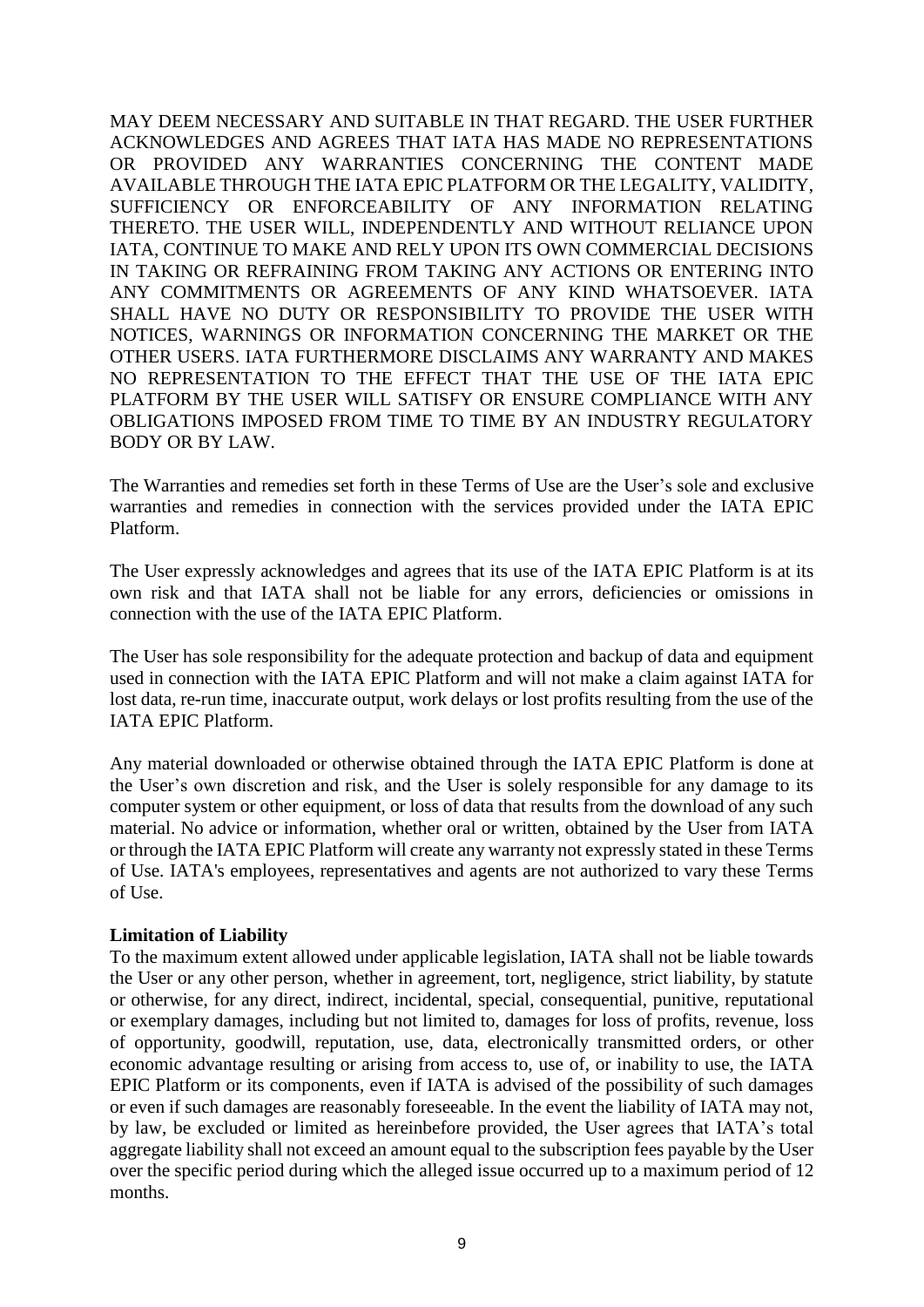MAY DEEM NECESSARY AND SUITABLE IN THAT REGARD. THE USER FURTHER ACKNOWLEDGES AND AGREES THAT IATA HAS MADE NO REPRESENTATIONS OR PROVIDED ANY WARRANTIES CONCERNING THE CONTENT MADE AVAILABLE THROUGH THE IATA EPIC PLATFORM OR THE LEGALITY, VALIDITY, SUFFICIENCY OR ENFORCEABILITY OF ANY INFORMATION RELATING THERETO. THE USER WILL, INDEPENDENTLY AND WITHOUT RELIANCE UPON IATA, CONTINUE TO MAKE AND RELY UPON ITS OWN COMMERCIAL DECISIONS IN TAKING OR REFRAINING FROM TAKING ANY ACTIONS OR ENTERING INTO ANY COMMITMENTS OR AGREEMENTS OF ANY KIND WHATSOEVER. IATA SHALL HAVE NO DUTY OR RESPONSIBILITY TO PROVIDE THE USER WITH NOTICES, WARNINGS OR INFORMATION CONCERNING THE MARKET OR THE OTHER USERS. IATA FURTHERMORE DISCLAIMS ANY WARRANTY AND MAKES NO REPRESENTATION TO THE EFFECT THAT THE USE OF THE IATA EPIC PLATFORM BY THE USER WILL SATISFY OR ENSURE COMPLIANCE WITH ANY OBLIGATIONS IMPOSED FROM TIME TO TIME BY AN INDUSTRY REGULATORY BODY OR BY LAW.

The Warranties and remedies set forth in these Terms of Use are the User's sole and exclusive warranties and remedies in connection with the services provided under the IATA EPIC Platform.

The User expressly acknowledges and agrees that its use of the IATA EPIC Platform is at its own risk and that IATA shall not be liable for any errors, deficiencies or omissions in connection with the use of the IATA EPIC Platform.

The User has sole responsibility for the adequate protection and backup of data and equipment used in connection with the IATA EPIC Platform and will not make a claim against IATA for lost data, re-run time, inaccurate output, work delays or lost profits resulting from the use of the IATA EPIC Platform.

Any material downloaded or otherwise obtained through the IATA EPIC Platform is done at the User's own discretion and risk, and the User is solely responsible for any damage to its computer system or other equipment, or loss of data that results from the download of any such material. No advice or information, whether oral or written, obtained by the User from IATA or through the IATA EPIC Platform will create any warranty not expressly stated in these Terms of Use. IATA's employees, representatives and agents are not authorized to vary these Terms of Use.

#### **Limitation of Liability**

To the maximum extent allowed under applicable legislation, IATA shall not be liable towards the User or any other person, whether in agreement, tort, negligence, strict liability, by statute or otherwise, for any direct, indirect, incidental, special, consequential, punitive, reputational or exemplary damages, including but not limited to, damages for loss of profits, revenue, loss of opportunity, goodwill, reputation, use, data, electronically transmitted orders, or other economic advantage resulting or arising from access to, use of, or inability to use, the IATA EPIC Platform or its components, even if IATA is advised of the possibility of such damages or even if such damages are reasonably foreseeable. In the event the liability of IATA may not, by law, be excluded or limited as hereinbefore provided, the User agrees that IATA's total aggregate liability shall not exceed an amount equal to the subscription fees payable by the User over the specific period during which the alleged issue occurred up to a maximum period of 12 months.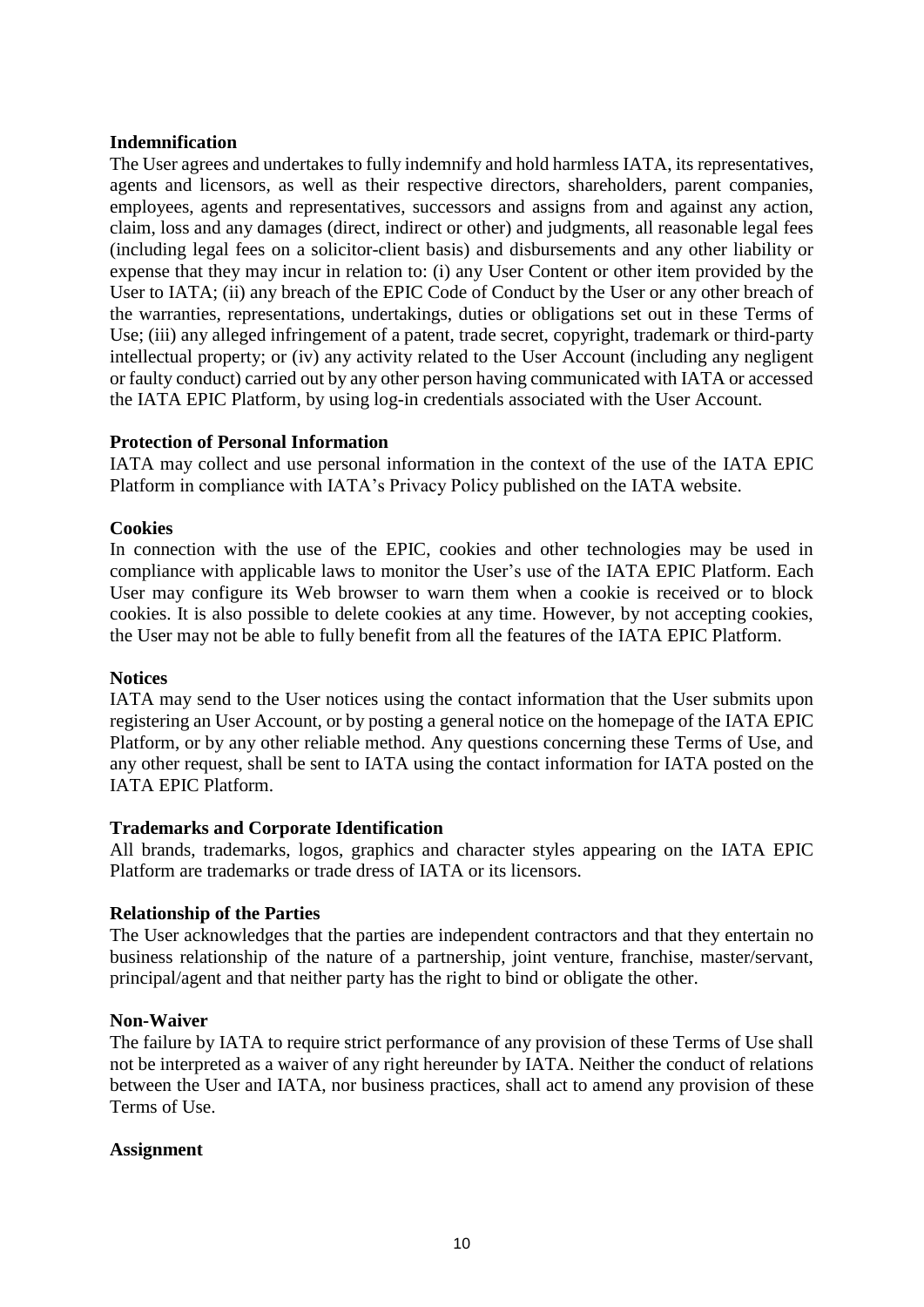## **Indemnification**

The User agrees and undertakes to fully indemnify and hold harmless IATA, its representatives, agents and licensors, as well as their respective directors, shareholders, parent companies, employees, agents and representatives, successors and assigns from and against any action, claim, loss and any damages (direct, indirect or other) and judgments, all reasonable legal fees (including legal fees on a solicitor-client basis) and disbursements and any other liability or expense that they may incur in relation to: (i) any User Content or other item provided by the User to IATA; (ii) any breach of the EPIC Code of Conduct by the User or any other breach of the warranties, representations, undertakings, duties or obligations set out in these Terms of Use; (iii) any alleged infringement of a patent, trade secret, copyright, trademark or third-party intellectual property; or (iv) any activity related to the User Account (including any negligent or faulty conduct) carried out by any other person having communicated with IATA or accessed the IATA EPIC Platform, by using log-in credentials associated with the User Account.

## **Protection of Personal Information**

IATA may collect and use personal information in the context of the use of the IATA EPIC Platform in compliance with IATA's Privacy Policy published on the IATA website.

## **Cookies**

In connection with the use of the EPIC, cookies and other technologies may be used in compliance with applicable laws to monitor the User's use of the IATA EPIC Platform. Each User may configure its Web browser to warn them when a cookie is received or to block cookies. It is also possible to delete cookies at any time. However, by not accepting cookies, the User may not be able to fully benefit from all the features of the IATA EPIC Platform.

#### **Notices**

IATA may send to the User notices using the contact information that the User submits upon registering an User Account, or by posting a general notice on the homepage of the IATA EPIC Platform, or by any other reliable method. Any questions concerning these Terms of Use, and any other request, shall be sent to IATA using the contact information for IATA posted on the IATA EPIC Platform.

#### **Trademarks and Corporate Identification**

All brands, trademarks, logos, graphics and character styles appearing on the IATA EPIC Platform are trademarks or trade dress of IATA or its licensors.

#### **Relationship of the Parties**

The User acknowledges that the parties are independent contractors and that they entertain no business relationship of the nature of a partnership, joint venture, franchise, master/servant, principal/agent and that neither party has the right to bind or obligate the other.

#### **Non-Waiver**

The failure by IATA to require strict performance of any provision of these Terms of Use shall not be interpreted as a waiver of any right hereunder by IATA. Neither the conduct of relations between the User and IATA, nor business practices, shall act to amend any provision of these Terms of Use.

#### **Assignment**